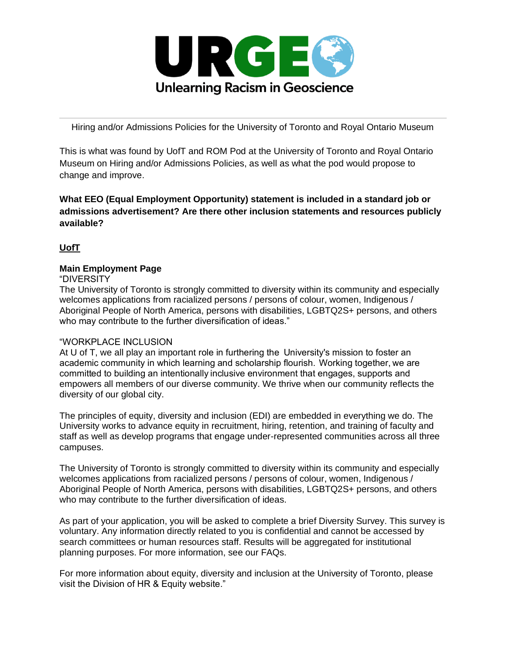

Hiring and/or Admissions Policies for the University of Toronto and Royal Ontario Museum

This is what was found by UofT and ROM Pod at the University of Toronto and Royal Ontario Museum on Hiring and/or Admissions Policies, as well as what the pod would propose to change and improve.

**What EEO (Equal Employment Opportunity) statement is included in a standard job or admissions advertisement? Are there other inclusion statements and resources publicly available?**

**UofT**

### **Main Employment Page**

### "DIVERSITY

The University of Toronto is strongly committed to diversity within its community and especially welcomes applications from racialized persons / persons of colour, women, Indigenous / Aboriginal People of North America, persons with disabilities, LGBTQ2S+ persons, and others who may contribute to the further diversification of ideas."

### "WORKPLACE INCLUSION

At U of T, we all play an important role in furthering the  University's mission to foster an academic community in which learning and scholarship flourish.  Working together, we are committed to building an intentionally inclusive environment that engages, supports and empowers all members of our diverse community. We thrive when our community reflects the diversity of our global city.

The principles of equity, diversity and inclusion (EDI) are embedded in everything we do. The University works to advance equity in recruitment, hiring, retention, and training of faculty and staff as well as develop programs that engage under-represented communities across all three campuses.

The University of Toronto is strongly committed to diversity within its community and especially welcomes applications from racialized persons / persons of colour, women, Indigenous / Aboriginal People of North America, persons with disabilities, LGBTQ2S+ persons, and others who may contribute to the further diversification of ideas.

As part of your application, you will be asked to complete a brief Diversity Survey. This survey is voluntary. Any information directly related to you is confidential and cannot be accessed by search committees or human resources staff. Results will be aggregated for institutional planning purposes. For more information, see our FAQs.

For more information about equity, diversity and inclusion at the University of Toronto, please visit the Division of HR & Equity website."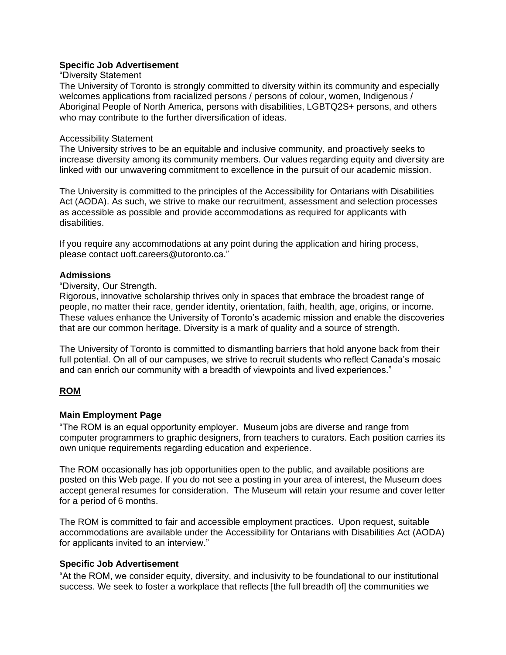#### **Specific Job Advertisement**

#### "Diversity Statement

The University of Toronto is strongly committed to diversity within its community and especially welcomes applications from racialized persons / persons of colour, women, Indigenous / Aboriginal People of North America, persons with disabilities, LGBTQ2S+ persons, and others who may contribute to the further diversification of ideas.

#### Accessibility Statement

The University strives to be an equitable and inclusive community, and proactively seeks to increase diversity among its community members. Our values regarding equity and diversity are linked with our unwavering commitment to excellence in the pursuit of our academic mission.

The University is committed to the principles of the Accessibility for Ontarians with Disabilities Act (AODA). As such, we strive to make our recruitment, assessment and selection processes as accessible as possible and provide accommodations as required for applicants with disabilities.

If you require any accommodations at any point during the application and hiring process, please contact uoft.careers@utoronto.ca."

#### **Admissions**

"Diversity, Our Strength.

Rigorous, innovative scholarship thrives only in spaces that embrace the broadest range of people, no matter their race, gender identity, orientation, faith, health, age, origins, or income. These values enhance the University of Toronto's academic mission and enable the discoveries that are our common heritage. Diversity is a mark of quality and a source of strength.

The University of Toronto is committed to dismantling barriers that hold anyone back from their full potential. On all of our campuses, we strive to recruit students who reflect Canada's mosaic and can enrich our community with a breadth of viewpoints and lived experiences."

### **ROM**

#### **Main Employment Page**

"The ROM is an equal opportunity employer. Museum jobs are diverse and range from computer programmers to graphic designers, from teachers to curators. Each position carries its own unique requirements regarding education and experience.

The ROM occasionally has job opportunities open to the public, and available positions are posted on this Web page. If you do not see a posting in your area of interest, the Museum does accept general resumes for consideration. The Museum will retain your resume and cover letter for a period of 6 months.

The ROM is committed to fair and accessible employment practices. Upon request, suitable accommodations are available under the Accessibility for Ontarians with Disabilities Act (AODA) for applicants invited to an interview."

#### **Specific Job Advertisement**

"At the ROM, we consider equity, diversity, and inclusivity to be foundational to our institutional success. We seek to foster a workplace that reflects [the full breadth of] the communities we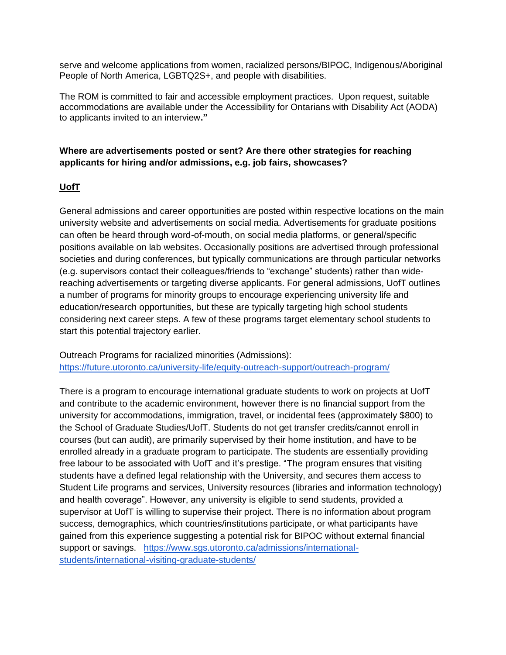serve and welcome applications from women, racialized persons/BIPOC, Indigenous/Aboriginal People of North America, LGBTQ2S+, and people with disabilities.

The ROM is committed to fair and accessible employment practices. Upon request, suitable accommodations are available under the Accessibility for Ontarians with Disability Act (AODA) to applicants invited to an interview**."**

## **Where are advertisements posted or sent? Are there other strategies for reaching applicants for hiring and/or admissions, e.g. job fairs, showcases?**

### **UofT**

General admissions and career opportunities are posted within respective locations on the main university website and advertisements on social media. Advertisements for graduate positions can often be heard through word-of-mouth, on social media platforms, or general/specific positions available on lab websites. Occasionally positions are advertised through professional societies and during conferences, but typically communications are through particular networks (e.g. supervisors contact their colleagues/friends to "exchange" students) rather than widereaching advertisements or targeting diverse applicants. For general admissions, UofT outlines a number of programs for minority groups to encourage experiencing university life and education/research opportunities, but these are typically targeting high school students considering next career steps. A few of these programs target elementary school students to start this potential trajectory earlier.

Outreach Programs for racialized minorities (Admissions): <https://future.utoronto.ca/university-life/equity-outreach-support/outreach-program/>

There is a program to encourage international graduate students to work on projects at UofT and contribute to the academic environment, however there is no financial support from the university for accommodations, immigration, travel, or incidental fees (approximately \$800) to the School of Graduate Studies/UofT. Students do not get transfer credits/cannot enroll in courses (but can audit), are primarily supervised by their home institution, and have to be enrolled already in a graduate program to participate. The students are essentially providing free labour to be associated with UofT and it's prestige. "The program ensures that visiting students have a defined legal relationship with the University, and secures them access to Student Life programs and services, University resources (libraries and information technology) and health coverage". However, any university is eligible to send students, provided a supervisor at UofT is willing to supervise their project. There is no information about program success, demographics, which countries/institutions participate, or what participants have gained from this experience suggesting a potential risk for BIPOC without external financial support or savings. [https://www.sgs.utoronto.ca/admissions/international](https://www.sgs.utoronto.ca/admissions/international-students/international-visiting-graduate-students/)[students/international-visiting-graduate-students/](https://www.sgs.utoronto.ca/admissions/international-students/international-visiting-graduate-students/)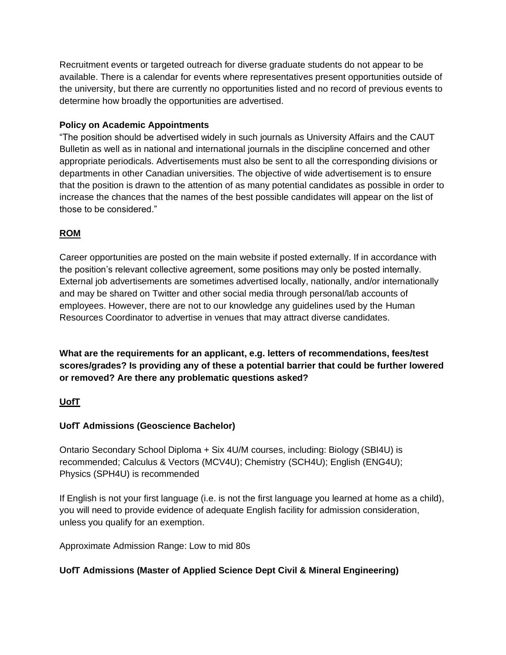Recruitment events or targeted outreach for diverse graduate students do not appear to be available. There is a calendar for events where representatives present opportunities outside of the university, but there are currently no opportunities listed and no record of previous events to determine how broadly the opportunities are advertised.

## **Policy on Academic Appointments**

"The position should be advertised widely in such journals as University Affairs and the CAUT Bulletin as well as in national and international journals in the discipline concerned and other appropriate periodicals. Advertisements must also be sent to all the corresponding divisions or departments in other Canadian universities. The objective of wide advertisement is to ensure that the position is drawn to the attention of as many potential candidates as possible in order to increase the chances that the names of the best possible candidates will appear on the list of those to be considered."

# **ROM**

Career opportunities are posted on the main website if posted externally. If in accordance with the position's relevant collective agreement, some positions may only be posted internally. External job advertisements are sometimes advertised locally, nationally, and/or internationally and may be shared on Twitter and other social media through personal/lab accounts of employees. However, there are not to our knowledge any guidelines used by the Human Resources Coordinator to advertise in venues that may attract diverse candidates.

**What are the requirements for an applicant, e.g. letters of recommendations, fees/test scores/grades? Is providing any of these a potential barrier that could be further lowered or removed? Are there any problematic questions asked?**

# **UofT**

# **UofT Admissions (Geoscience Bachelor)**

Ontario Secondary School Diploma + Six 4U/M courses, including: Biology (SBI4U) is recommended; Calculus & Vectors (MCV4U); Chemistry (SCH4U); English (ENG4U); Physics (SPH4U) is recommended

If English is not your first language (i.e. is not the first language you learned at home as a child), you will need to provide evidence of adequate English facility for admission consideration, unless you qualify for an exemption.

Approximate Admission Range: Low to mid 80s

# **UofT Admissions (Master of Applied Science Dept Civil & Mineral Engineering)**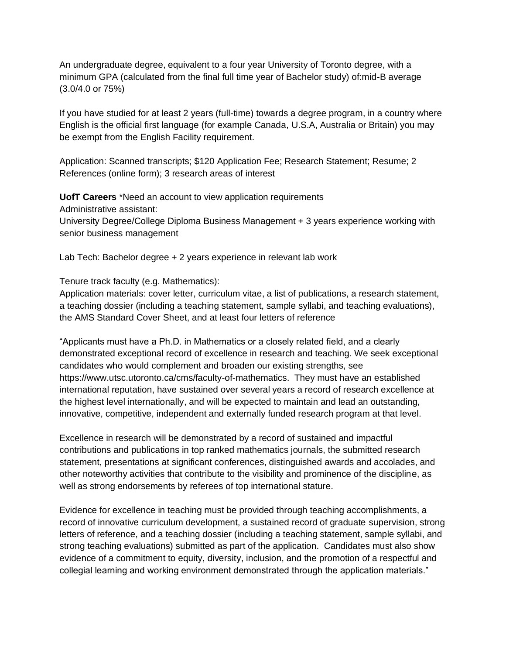An undergraduate degree, equivalent to a four year University of Toronto degree, with a minimum GPA (calculated from the final full time year of Bachelor study) of:mid-B average (3.0/4.0 or 75%)

If you have studied for at least 2 years (full-time) towards a degree program, in a country where English is the official first language (for example Canada, U.S.A, Australia or Britain) you may be exempt from the English Facility requirement.

Application: Scanned transcripts; \$120 Application Fee; Research Statement; Resume; 2 References (online form); 3 research areas of interest

**UofT Careers** \*Need an account to view application requirements Administrative assistant:

University Degree/College Diploma Business Management + 3 years experience working with senior business management

Lab Tech: Bachelor degree + 2 years experience in relevant lab work

Tenure track faculty (e.g. Mathematics):

Application materials: cover letter, curriculum vitae, a list of publications, a research statement, a teaching dossier (including a teaching statement, sample syllabi, and teaching evaluations), the AMS Standard Cover Sheet, and at least four letters of reference

"Applicants must have a Ph.D. in Mathematics or a closely related field, and a clearly demonstrated exceptional record of excellence in research and teaching. We seek exceptional candidates who would complement and broaden our existing strengths, see https://www.utsc.utoronto.ca/cms/faculty-of-mathematics. They must have an established international reputation, have sustained over several years a record of research excellence at the highest level internationally, and will be expected to maintain and lead an outstanding, innovative, competitive, independent and externally funded research program at that level.

Excellence in research will be demonstrated by a record of sustained and impactful contributions and publications in top ranked mathematics journals, the submitted research statement, presentations at significant conferences, distinguished awards and accolades, and other noteworthy activities that contribute to the visibility and prominence of the discipline, as well as strong endorsements by referees of top international stature.

Evidence for excellence in teaching must be provided through teaching accomplishments, a record of innovative curriculum development, a sustained record of graduate supervision, strong letters of reference, and a teaching dossier (including a teaching statement, sample syllabi, and strong teaching evaluations) submitted as part of the application. Candidates must also show evidence of a commitment to equity, diversity, inclusion, and the promotion of a respectful and collegial learning and working environment demonstrated through the application materials."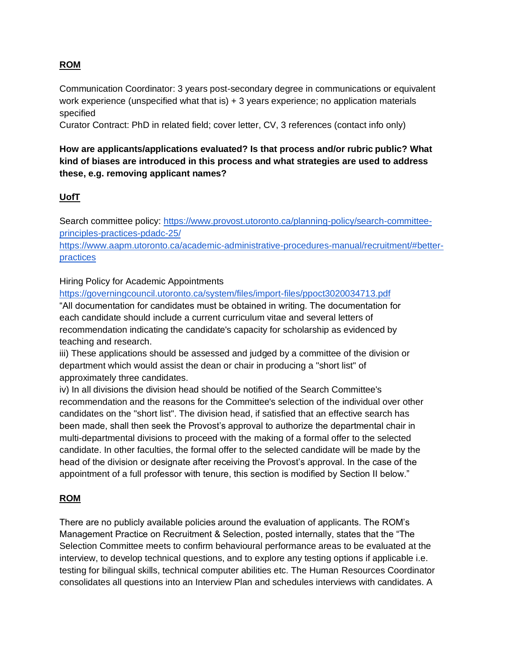# **ROM**

Communication Coordinator: 3 years post-secondary degree in communications or equivalent work experience (unspecified what that is)  $+3$  years experience; no application materials specified

Curator Contract: PhD in related field; cover letter, CV, 3 references (contact info only)

# **How are applicants/applications evaluated? Is that process and/or rubric public? What kind of biases are introduced in this process and what strategies are used to address these, e.g. removing applicant names?**

# **UofT**

Search committee policy: [https://www.provost.utoronto.ca/planning-policy/search-committee](https://www.provost.utoronto.ca/planning-policy/search-committee-principles-practices-pdadc-25/)[principles-practices-pdadc-25/](https://www.provost.utoronto.ca/planning-policy/search-committee-principles-practices-pdadc-25/)

[https://www.aapm.utoronto.ca/academic-administrative-procedures-manual/recruitment/#better](https://www.aapm.utoronto.ca/academic-administrative-procedures-manual/recruitment/#better-practices)[practices](https://www.aapm.utoronto.ca/academic-administrative-procedures-manual/recruitment/#better-practices)

Hiring Policy for Academic Appointments

<https://governingcouncil.utoronto.ca/system/files/import-files/ppoct3020034713.pdf>

"All documentation for candidates must be obtained in writing. The documentation for each candidate should include a current curriculum vitae and several letters of recommendation indicating the candidate's capacity for scholarship as evidenced by teaching and research.

iii) These applications should be assessed and judged by a committee of the division or department which would assist the dean or chair in producing a "short list" of approximately three candidates.

iv) In all divisions the division head should be notified of the Search Committee's recommendation and the reasons for the Committee's selection of the individual over other candidates on the "short list". The division head, if satisfied that an effective search has been made, shall then seek the Provost's approval to authorize the departmental chair in multi-departmental divisions to proceed with the making of a formal offer to the selected candidate. In other faculties, the formal offer to the selected candidate will be made by the head of the division or designate after receiving the Provost's approval. In the case of the appointment of a full professor with tenure, this section is modified by Section II below."

# **ROM**

There are no publicly available policies around the evaluation of applicants. The ROM's Management Practice on Recruitment & Selection, posted internally, states that the "The Selection Committee meets to confirm behavioural performance areas to be evaluated at the interview, to develop technical questions, and to explore any testing options if applicable i.e. testing for bilingual skills, technical computer abilities etc. The Human Resources Coordinator consolidates all questions into an Interview Plan and schedules interviews with candidates. A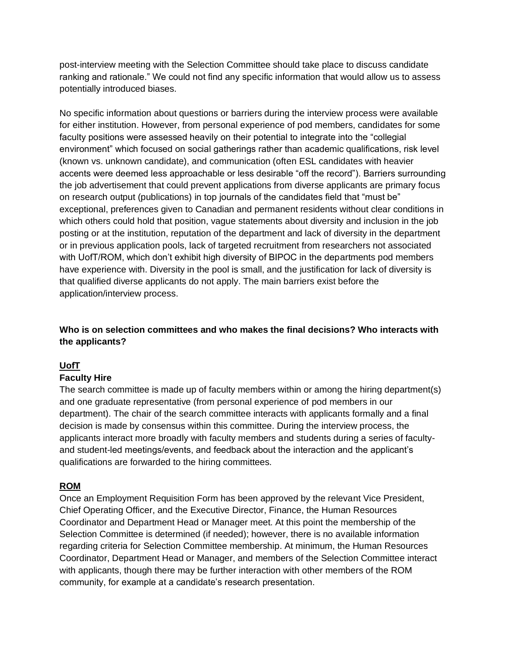post-interview meeting with the Selection Committee should take place to discuss candidate ranking and rationale." We could not find any specific information that would allow us to assess potentially introduced biases.

No specific information about questions or barriers during the interview process were available for either institution. However, from personal experience of pod members, candidates for some faculty positions were assessed heavily on their potential to integrate into the "collegial environment" which focused on social gatherings rather than academic qualifications, risk level (known vs. unknown candidate), and communication (often ESL candidates with heavier accents were deemed less approachable or less desirable "off the record"). Barriers surrounding the job advertisement that could prevent applications from diverse applicants are primary focus on research output (publications) in top journals of the candidates field that "must be" exceptional, preferences given to Canadian and permanent residents without clear conditions in which others could hold that position, vague statements about diversity and inclusion in the job posting or at the institution, reputation of the department and lack of diversity in the department or in previous application pools, lack of targeted recruitment from researchers not associated with UofT/ROM, which don't exhibit high diversity of BIPOC in the departments pod members have experience with. Diversity in the pool is small, and the justification for lack of diversity is that qualified diverse applicants do not apply. The main barriers exist before the application/interview process.

# **Who is on selection committees and who makes the final decisions? Who interacts with the applicants?**

### **UofT**

# **Faculty Hire**

The search committee is made up of faculty members within or among the hiring department(s) and one graduate representative (from personal experience of pod members in our department). The chair of the search committee interacts with applicants formally and a final decision is made by consensus within this committee. During the interview process, the applicants interact more broadly with faculty members and students during a series of facultyand student-led meetings/events, and feedback about the interaction and the applicant's qualifications are forwarded to the hiring committees.

### **ROM**

Once an Employment Requisition Form has been approved by the relevant Vice President, Chief Operating Officer, and the Executive Director, Finance, the Human Resources Coordinator and Department Head or Manager meet. At this point the membership of the Selection Committee is determined (if needed); however, there is no available information regarding criteria for Selection Committee membership. At minimum, the Human Resources Coordinator, Department Head or Manager, and members of the Selection Committee interact with applicants, though there may be further interaction with other members of the ROM community, for example at a candidate's research presentation.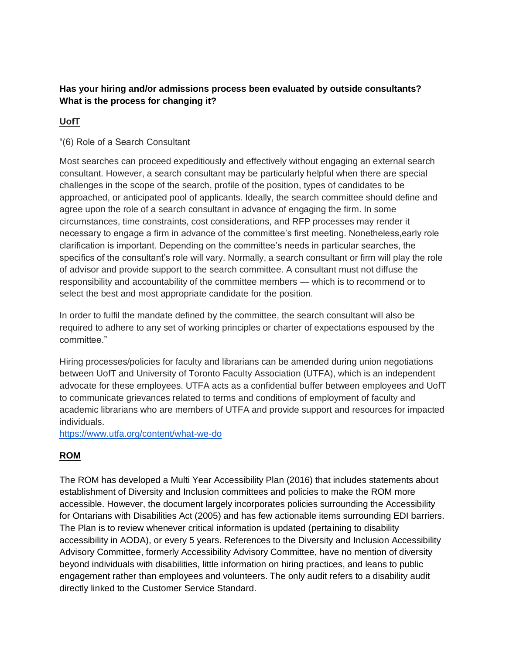# **Has your hiring and/or admissions process been evaluated by outside consultants? What is the process for changing it?**

# **UofT**

## "(6) Role of a Search Consultant

Most searches can proceed expeditiously and effectively without engaging an external search consultant. However, a search consultant may be particularly helpful when there are special challenges in the scope of the search, profile of the position, types of candidates to be approached, or anticipated pool of applicants. Ideally, the search committee should define and agree upon the role of a search consultant in advance of engaging the firm. In some circumstances, time constraints, cost considerations, and RFP processes may render it necessary to engage a firm in advance of the committee's first meeting. Nonetheless,early role clarification is important. Depending on the committee's needs in particular searches, the specifics of the consultant's role will vary. Normally, a search consultant or firm will play the role of advisor and provide support to the search committee. A consultant must not diffuse the responsibility and accountability of the committee members — which is to recommend or to select the best and most appropriate candidate for the position.

In order to fulfil the mandate defined by the committee, the search consultant will also be required to adhere to any set of working principles or charter of expectations espoused by the committee."

Hiring processes/policies for faculty and librarians can be amended during union negotiations between UofT and University of Toronto Faculty Association (UTFA), which is an independent advocate for these employees. UTFA acts as a confidential buffer between employees and UofT to communicate grievances related to terms and conditions of employment of faculty and academic librarians who are members of UTFA and provide support and resources for impacted individuals.

<https://www.utfa.org/content/what-we-do>

# **ROM**

The ROM has developed a Multi Year Accessibility Plan (2016) that includes statements about establishment of Diversity and Inclusion committees and policies to make the ROM more accessible. However, the document largely incorporates policies surrounding the Accessibility for Ontarians with Disabilities Act (2005) and has few actionable items surrounding EDI barriers. The Plan is to review whenever critical information is updated (pertaining to disability accessibility in AODA), or every 5 years. References to the Diversity and Inclusion Accessibility Advisory Committee, formerly Accessibility Advisory Committee, have no mention of diversity beyond individuals with disabilities, little information on hiring practices, and leans to public engagement rather than employees and volunteers. The only audit refers to a disability audit directly linked to the Customer Service Standard.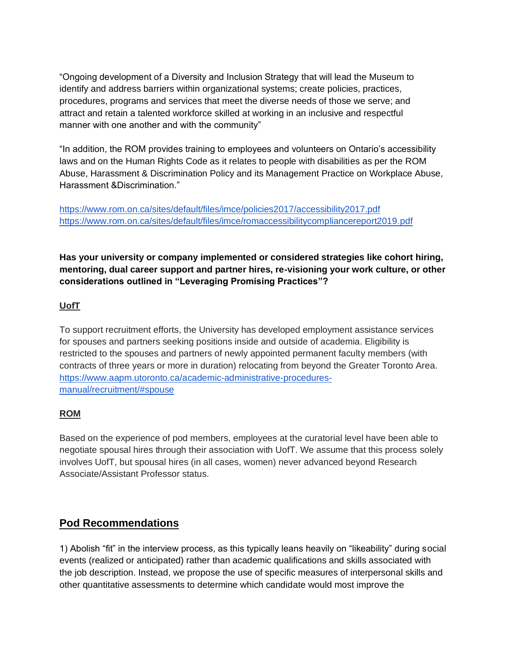"Ongoing development of a Diversity and Inclusion Strategy that will lead the Museum to identify and address barriers within organizational systems; create policies, practices, procedures, programs and services that meet the diverse needs of those we serve; and attract and retain a talented workforce skilled at working in an inclusive and respectful manner with one another and with the community"

"In addition, the ROM provides training to employees and volunteers on Ontario's accessibility laws and on the Human Rights Code as it relates to people with disabilities as per the ROM Abuse, Harassment & Discrimination Policy and its Management Practice on Workplace Abuse, Harassment &Discrimination."

<https://www.rom.on.ca/sites/default/files/imce/policies2017/accessibility2017.pdf> <https://www.rom.on.ca/sites/default/files/imce/romaccessibilitycompliancereport2019.pdf>

**Has your university or company implemented or considered strategies like cohort hiring, mentoring, dual career support and partner hires, re-visioning your work culture, or other considerations outlined in "Leveraging Promising Practices"?**

# **UofT**

To support recruitment efforts, the University has developed employment assistance services for spouses and partners seeking positions inside and outside of academia. Eligibility is restricted to the spouses and partners of newly appointed permanent faculty members (with contracts of three years or more in duration) relocating from beyond the Greater Toronto Area. [https://www.aapm.utoronto.ca/academic-administrative-procedures](https://www.aapm.utoronto.ca/academic-administrative-procedures-manual/recruitment/#spouse)[manual/recruitment/#spouse](https://www.aapm.utoronto.ca/academic-administrative-procedures-manual/recruitment/#spouse)

# **ROM**

Based on the experience of pod members, employees at the curatorial level have been able to negotiate spousal hires through their association with UofT. We assume that this process solely involves UofT, but spousal hires (in all cases, women) never advanced beyond Research Associate/Assistant Professor status.

# **Pod Recommendations**

1) Abolish "fit" in the interview process, as this typically leans heavily on "likeability" during social events (realized or anticipated) rather than academic qualifications and skills associated with the job description. Instead, we propose the use of specific measures of interpersonal skills and other quantitative assessments to determine which candidate would most improve the